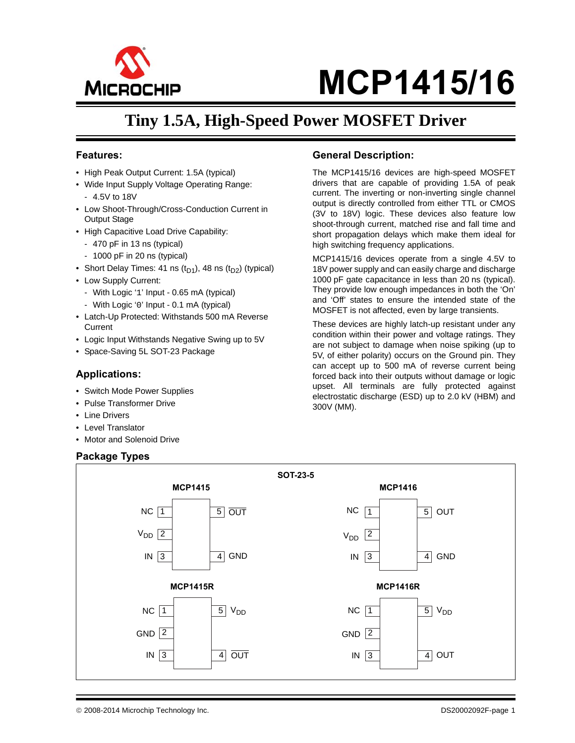

## **Tiny 1.5A, High-Speed Power MOSFET Driver**

#### **Features:**

- High Peak Output Current: 1.5A (typical)
- Wide Input Supply Voltage Operating Range: - 4.5V to 18V
- Low Shoot-Through/Cross-Conduction Current in Output Stage
- High Capacitive Load Drive Capability:
	- 470 pF in 13 ns (typical)
	- 1000 pF in 20 ns (typical)
- Short Delay Times: 41 ns  $(t_{D1})$ , 48 ns  $(t_{D2})$  (typical)
- Low Supply Current:
	- With Logic '1' Input 0.65 mA (typical)
	- With Logic '0' Input 0.1 mA (typical)
- Latch-Up Protected: Withstands 500 mA Reverse **Current**
- Logic Input Withstands Negative Swing up to 5V
- Space-Saving 5L SOT-23 Package

#### **Applications:**

- Switch Mode Power Supplies
- Pulse Transformer Drive
- Line Drivers
- Level Translator
- Motor and Solenoid Drive

#### **Package Types**

#### **General Description:**

The MCP1415/16 devices are high-speed MOSFET drivers that are capable of providing 1.5A of peak current. The inverting or non-inverting single channel output is directly controlled from either TTL or CMOS (3V to 18V) logic. These devices also feature low shoot-through current, matched rise and fall time and short propagation delays which make them ideal for high switching frequency applications.

MCP1415/16 devices operate from a single 4.5V to 18V power supply and can easily charge and discharge 1000 pF gate capacitance in less than 20 ns (typical). They provide low enough impedances in both the 'On' and 'Off' states to ensure the intended state of the MOSFET is not affected, even by large transients.

These devices are highly latch-up resistant under any condition within their power and voltage ratings. They are not subject to damage when noise spiking (up to 5V, of either polarity) occurs on the Ground pin. They can accept up to 500 mA of reverse current being forced back into their outputs without damage or logic upset. All terminals are fully protected against electrostatic discharge (ESD) up to 2.0 kV (HBM) and 300V (MM).



2008-2014 Microchip Technology Inc. DS20002092F-page 1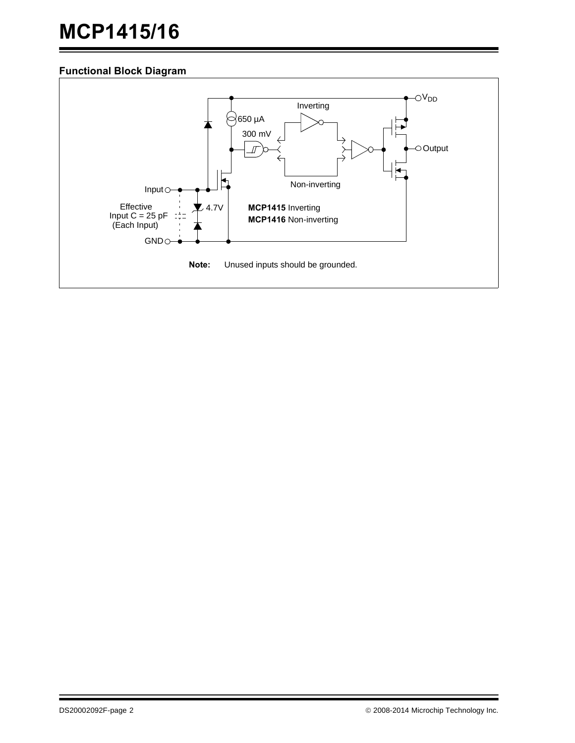#### **Functional Block Diagram**

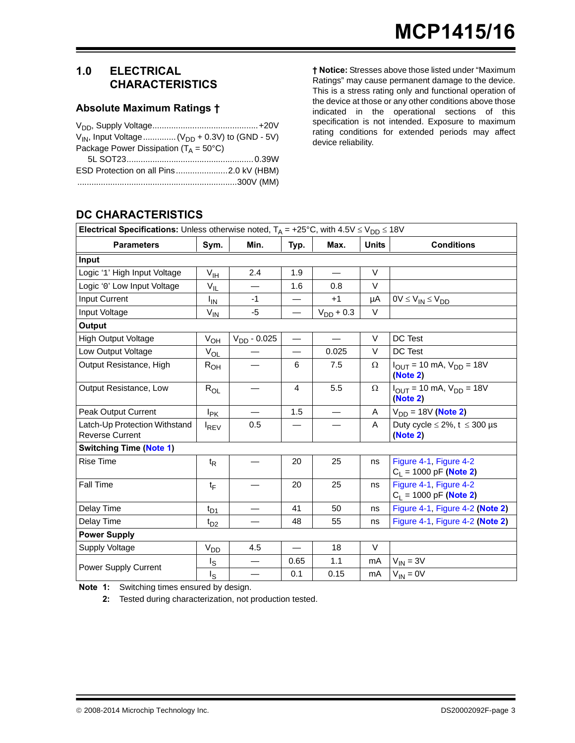#### **1.0 ELECTRICAL CHARACTERISTICS**

#### <span id="page-2-2"></span>**Absolute Maximum Ratings †**

| $V_{IN}$ , Input Voltage  ( $V_{DD}$ + 0.3V) to (GND - 5V) |  |
|------------------------------------------------------------|--|
| Package Power Dissipation ( $T_A = 50^{\circ}$ C)          |  |
|                                                            |  |
|                                                            |  |
|                                                            |  |

**† Notice:** Stresses above those listed under "Maximum Ratings" may cause permanent damage to the device. This is a stress rating only and functional operation of the device at those or any other conditions above those indicated in the operational sections of this specification is not intended. Exposure to maximum rating conditions for extended periods may affect device reliability.

#### <span id="page-2-3"></span>**DC CHARACTERISTICS**

| <b>Electrical Specifications:</b> Unless otherwise noted, $T_A = +25^{\circ}C$ , with $4.5V \le V_{DD} \le 18V$ |                       |                  |                          |                          |              |                                                     |  |
|-----------------------------------------------------------------------------------------------------------------|-----------------------|------------------|--------------------------|--------------------------|--------------|-----------------------------------------------------|--|
| <b>Parameters</b>                                                                                               | Sym.                  | Min.             | Typ.                     | Max.                     | <b>Units</b> | <b>Conditions</b>                                   |  |
| Input                                                                                                           |                       |                  |                          |                          |              |                                                     |  |
| Logic '1' High Input Voltage                                                                                    | $V_{\text{IH}}$       | 2.4              | 1.9                      |                          | V            |                                                     |  |
| Logic '0' Low Input Voltage                                                                                     | $V_{IL}$              |                  | 1.6                      | 0.8                      | $\vee$       |                                                     |  |
| Input Current                                                                                                   | l <sub>IN</sub>       | $-1$             | $\overline{\phantom{0}}$ | $+1$                     | μA           | $0V \leq V_{IN} \leq V_{DD}$                        |  |
| Input Voltage                                                                                                   | $V_{IN}$              | -5               | $\overline{\phantom{0}}$ | $V_{DD} + 0.3$           | $\vee$       |                                                     |  |
| Output                                                                                                          |                       |                  |                          |                          |              |                                                     |  |
| <b>High Output Voltage</b>                                                                                      | $V_{OH}$              | $V_{DD}$ - 0.025 | $\overline{\phantom{0}}$ | $\overline{\phantom{0}}$ | V            | DC Test                                             |  |
| Low Output Voltage                                                                                              | $V_{OL}$              |                  |                          | 0.025                    | V            | DC Test                                             |  |
| Output Resistance, High                                                                                         | $R_{OH}$              |                  | 6                        | 7.5                      | Ω            | $I_{OUT}$ = 10 mA, $V_{DD}$ = 18V<br>(Note 2)       |  |
| Output Resistance, Low                                                                                          | $R_{OL}$              | —                | 4                        | 5.5                      | $\Omega$     | $I_{OUT}$ = 10 mA, $V_{DD}$ = 18V<br>(Note 2)       |  |
| Peak Output Current                                                                                             | $I_{PK}$              |                  | 1.5                      |                          | A            | $V_{DD} = 18V$ (Note 2)                             |  |
| Latch-Up Protection Withstand<br><b>Reverse Current</b>                                                         | $I_{\text{REV}}$      | 0.5              |                          |                          | A            | Duty cycle $\leq 2\%$ , t $\leq 300$ µs<br>(Note 2) |  |
| <b>Switching Time (Note 1)</b>                                                                                  |                       |                  |                          |                          |              |                                                     |  |
| <b>Rise Time</b>                                                                                                | $t_{\mathsf{R}}$      |                  | 20                       | 25                       | ns           | Figure 4-1, Figure 4-2<br>$C_L$ = 1000 pF (Note 2)  |  |
| Fall Time                                                                                                       | $t_{F}$               |                  | 20                       | 25                       | ns           | Figure 4-1, Figure 4-2<br>$C_1 = 1000$ pF (Note 2)  |  |
| Delay Time                                                                                                      | $t_{D1}$              |                  | 41                       | 50                       | ns           | Figure 4-1, Figure 4-2 (Note 2)                     |  |
| Delay Time                                                                                                      | $t_{D2}$              |                  | 48                       | 55                       | ns           | Figure 4-1, Figure 4-2 (Note 2)                     |  |
| <b>Power Supply</b>                                                                                             |                       |                  |                          |                          |              |                                                     |  |
| Supply Voltage                                                                                                  | <b>V<sub>DD</sub></b> | 4.5              |                          | 18                       | $\vee$       |                                                     |  |
|                                                                                                                 | ls                    |                  | 0.65                     | 1.1                      | mA           | $V_{IN} = 3V$                                       |  |
| <b>Power Supply Current</b>                                                                                     | $I_{\rm S}$           | —                | 0.1                      | 0.15                     | mA           | $V_{IN} = 0V$                                       |  |

<span id="page-2-1"></span><span id="page-2-0"></span>**Note 1:** Switching times ensured by design.

**2:** Tested during characterization, not production tested.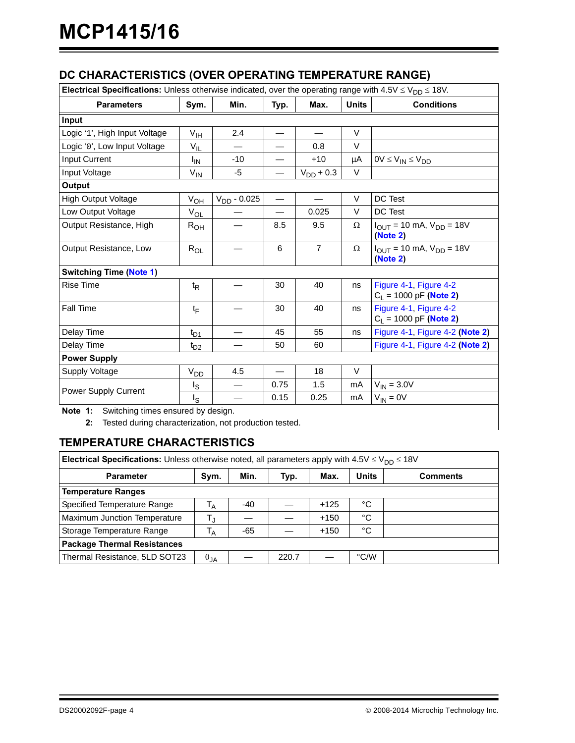#### **DC CHARACTERISTICS (OVER OPERATING TEMPERATURE RANGE)**

| Electrical Specifications: Unless otherwise indicated, over the operating range with $4.5V \leq V_{DD} \leq 18V$ . |                  |                          |                          |                |              |                                                    |  |
|--------------------------------------------------------------------------------------------------------------------|------------------|--------------------------|--------------------------|----------------|--------------|----------------------------------------------------|--|
| <b>Parameters</b>                                                                                                  | Sym.             | Min.                     | Typ.                     | Max.           | <b>Units</b> | <b>Conditions</b>                                  |  |
| Input                                                                                                              |                  |                          |                          |                |              |                                                    |  |
| Logic '1', High Input Voltage                                                                                      | $V_{\text{IH}}$  | 2.4                      | $\qquad \qquad$          |                | V            |                                                    |  |
| Logic '0', Low Input Voltage                                                                                       | $V_{IL}$         |                          |                          | 0.8            | V            |                                                    |  |
| <b>Input Current</b>                                                                                               | $I_{IN}$         | $-10$                    |                          | $+10$          | μA           | $0V \leq V_{IN} \leq V_{DD}$                       |  |
| Input Voltage                                                                                                      | $V_{IN}$         | $-5$                     |                          | $V_{DD}$ + 0.3 | V            |                                                    |  |
| Output                                                                                                             |                  |                          |                          |                |              |                                                    |  |
| <b>High Output Voltage</b>                                                                                         | $V_{OH}$         | $V_{DD}$ - 0.025         |                          |                | $\vee$       | DC Test                                            |  |
| Low Output Voltage                                                                                                 | $V_{OL}$         |                          |                          | 0.025          | V            | DC Test                                            |  |
| Output Resistance, High                                                                                            | $R_{OH}$         |                          | 8.5                      | 9.5            | Ω            | $I_{OUT} = 10$ mA, $V_{DD} = 18V$<br>(Note 2)      |  |
| Output Resistance, Low                                                                                             | $R_{OL}$         |                          | 6                        | $\overline{7}$ | Ω            | $I_{OUT}$ = 10 mA, $V_{DD}$ = 18V<br>(Note 2)      |  |
| <b>Switching Time (Note 1)</b>                                                                                     |                  |                          |                          |                |              |                                                    |  |
| <b>Rise Time</b>                                                                                                   | $t_{\mathsf{R}}$ |                          | 30                       | 40             | ns           | Figure 4-1, Figure 4-2<br>$C_L$ = 1000 pF (Note 2) |  |
| Fall Time                                                                                                          | tF               |                          | 30                       | 40             | ns           | Figure 4-1, Figure 4-2<br>$C_L$ = 1000 pF (Note 2) |  |
| Delay Time                                                                                                         | $t_{D1}$         |                          | 45                       | 55             | ns           | Figure 4-1, Figure 4-2 (Note 2)                    |  |
| Delay Time<br>$t_{D2}$                                                                                             |                  |                          | 50                       | 60             |              | Figure 4-1, Figure 4-2 (Note 2)                    |  |
| <b>Power Supply</b>                                                                                                |                  |                          |                          |                |              |                                                    |  |
| Supply Voltage                                                                                                     | $V_{DD}$         | 4.5                      | $\overline{\phantom{m}}$ | 18             | V            |                                                    |  |
| <b>Power Supply Current</b>                                                                                        | Is               | $\overline{\phantom{0}}$ | 0.75                     | 1.5            | mA           | $V_{IN} = 3.0V$                                    |  |
|                                                                                                                    | ls               | $\overline{\phantom{0}}$ | 0.15                     | 0.25           | mA           | $V_{IN} = 0V$                                      |  |

<span id="page-3-1"></span><span id="page-3-0"></span>**Note 1:** Switching times ensured by design.

**2:** Tested during characterization, not production tested.

### **TEMPERATURE CHARACTERISTICS**

| <b>Electrical Specifications:</b> Unless otherwise noted, all parameters apply with $4.5\sqrt{\phantom{0}} \leq \sqrt{\phantom{0}}_{DD} \leq 18\sqrt{\phantom{0}}$ |                |      |       |        |              |                 |
|--------------------------------------------------------------------------------------------------------------------------------------------------------------------|----------------|------|-------|--------|--------------|-----------------|
| <b>Parameter</b>                                                                                                                                                   | Sym.           | Min. | Typ.  | Max.   | <b>Units</b> | <b>Comments</b> |
| <b>Temperature Ranges</b>                                                                                                                                          |                |      |       |        |              |                 |
| Specified Temperature Range                                                                                                                                        | Т <sub>А</sub> | -40  |       | $+125$ | °C           |                 |
| Maximum Junction Temperature                                                                                                                                       |                |      |       | $+150$ | °C           |                 |
| Storage Temperature Range                                                                                                                                          | T <sub>A</sub> | -65  |       | $+150$ | °C           |                 |
| <b>Package Thermal Resistances</b>                                                                                                                                 |                |      |       |        |              |                 |
| Thermal Resistance, 5LD SOT23                                                                                                                                      | $\theta_{JA}$  |      | 220.7 |        | °C/W         |                 |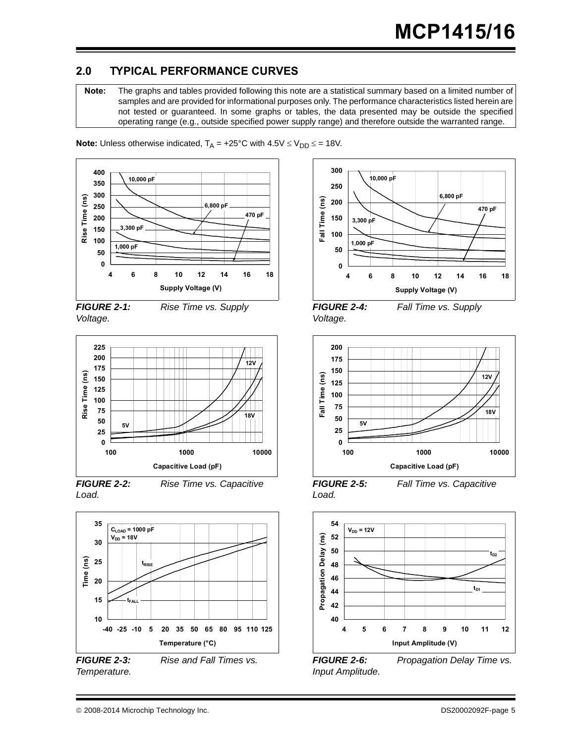#### **2.0 TYPICAL PERFORMANCE CURVES**

**Note:** Unless otherwise indicated,  $T_A = +25^{\circ}C$  with  $4.5V \leq V_{DD} \leq 18V$ .

**Note:** The graphs and tables provided following this note are a statistical summary based on a limited number of samples and are provided for informational purposes only. The performance characteristics listed herein are not tested or guaranteed. In some graphs or tables, the data presented may be outside the specified operating range (e.g., outside specified power supply range) and therefore outside the warranted range.



*FIGURE 2-1: Rise Time vs. Supply Voltage.*



*FIGURE 2-2: Rise Time vs. Capacitive Load.*



*FIGURE 2-3: Rise and Fall Times vs. Temperature.*



*Voltage.*

*FIGURE 2-4: Fall Time vs. Supply* 



*FIGURE 2-5: Fall Time vs. Capacitive Load.*



*FIGURE 2-6: Propagation Delay Time vs. Input Amplitude.*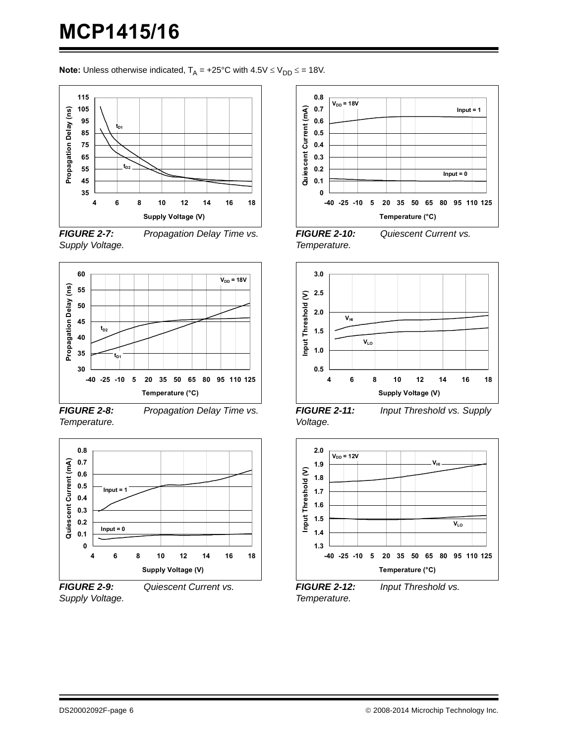**Note:** Unless otherwise indicated,  $T_A = +25^{\circ}C$  with  $4.5V \le V_{DD} \le 18V$ .



*FIGURE 2-7: Propagation Delay Time vs. Supply Voltage.*



*FIGURE 2-8: Propagation Delay Time vs. Temperature.*



*FIGURE 2-9: Quiescent Current vs. Supply Voltage.*



*FIGURE 2-10: Quiescent Current vs. Temperature.*



*FIGURE 2-11: Input Threshold vs. Supply Voltage.*



*Temperature.*

*FIGURE 2-12: Input Threshold vs.*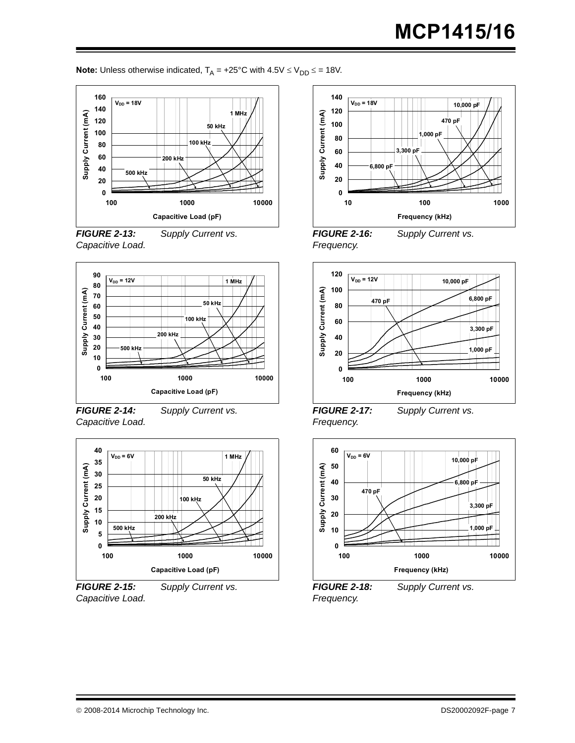**Note:** Unless otherwise indicated,  $T_A = +25^{\circ}C$  with  $4.5V \le V_{DD} \le 18V$ .







*FIGURE 2-14: Supply Current vs. Capacitive Load.*



*FIGURE 2-15: Supply Current vs. Capacitive Load.*



*Frequency.*

*FIGURE 2-16: Supply Current vs.* 







*FIGURE 2-17: Supply Current vs. Frequency.*





*Frequency.*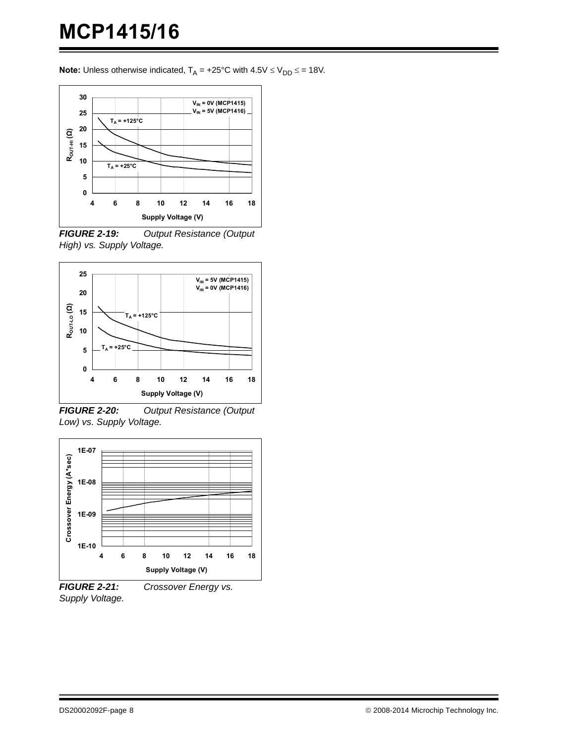**Note:** Unless otherwise indicated,  $T_A = +25^{\circ}C$  with  $4.5V \leq V_{DD} \leq 18V$ .



<span id="page-7-0"></span>*FIGURE 2-19: Output Resistance (Output High) vs. Supply Voltage.*



<span id="page-7-1"></span>*FIGURE 2-20: Output Resistance (Output Low) vs. Supply Voltage.*



*FIGURE 2-21: Crossover Energy vs. Supply Voltage.*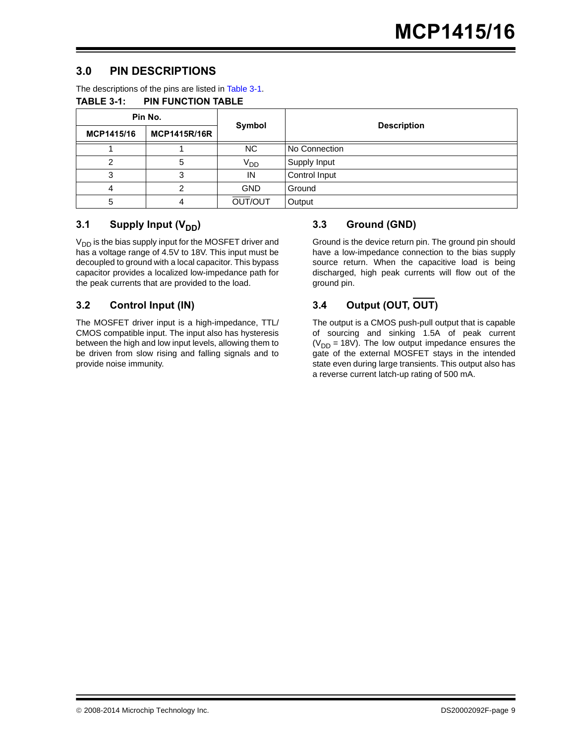#### **3.0 PIN DESCRIPTIONS**

The descriptions of the pins are listed in [Table 3-1.](#page-8-0)

<span id="page-8-0"></span>

| <b>TABLE 3-1:</b> | <b>PIN FUNCTION TABLE</b> |
|-------------------|---------------------------|
|-------------------|---------------------------|

|            | Pin No.             |                 |                    |
|------------|---------------------|-----------------|--------------------|
| MCP1415/16 | <b>MCP1415R/16R</b> | Symbol          | <b>Description</b> |
|            |                     | NC              | No Connection      |
|            | 5                   | V <sub>DD</sub> | Supply Input       |
| 3          | 3                   | IN              | Control Input      |
| 4          |                     | <b>GND</b>      | Ground             |
| 5          | 4                   | OUT/OUT         | Output             |

#### **3.1** Supply Input (V<sub>DD</sub>)

V<sub>DD</sub> is the bias supply input for the MOSFET driver and has a voltage range of 4.5V to 18V. This input must be decoupled to ground with a local capacitor. This bypass capacitor provides a localized low-impedance path for the peak currents that are provided to the load.

#### **3.2 Control Input (IN)**

The MOSFET driver input is a high-impedance, TTL/ CMOS compatible input. The input also has hysteresis between the high and low input levels, allowing them to be driven from slow rising and falling signals and to provide noise immunity.

#### **3.3 Ground (GND)**

Ground is the device return pin. The ground pin should have a low-impedance connection to the bias supply source return. When the capacitive load is being discharged, high peak currents will flow out of the ground pin.

#### **3.4 Output (OUT, OUT)**

The output is a CMOS push-pull output that is capable of sourcing and sinking 1.5A of peak current ( $V_{DD}$  = 18V). The low output impedance ensures the gate of the external MOSFET stays in the intended state even during large transients. This output also has a reverse current latch-up rating of 500 mA.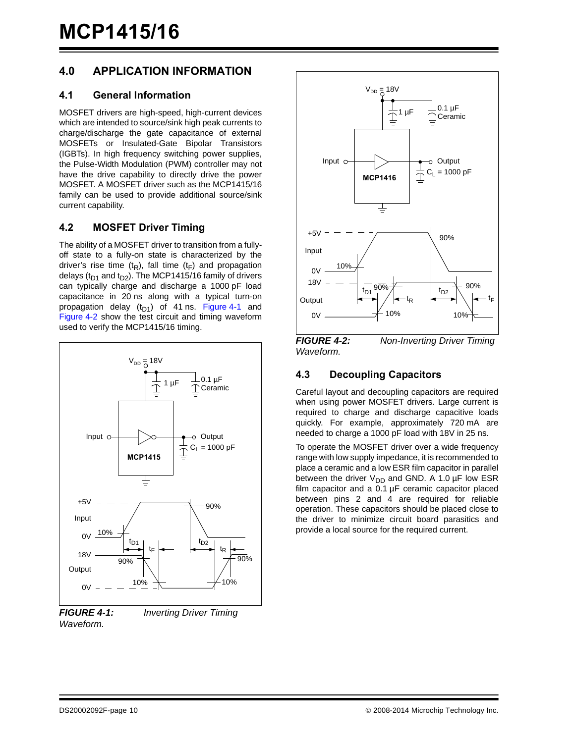#### **4.0 APPLICATION INFORMATION**

#### **4.1 General Information**

MOSFET drivers are high-speed, high-current devices which are intended to source/sink high peak currents to charge/discharge the gate capacitance of external MOSFETs or Insulated-Gate Bipolar Transistors (IGBTs). In high frequency switching power supplies, the Pulse-Width Modulation (PWM) controller may not have the drive capability to directly drive the power MOSFET. A MOSFET driver such as the MCP1415/16 family can be used to provide additional source/sink current capability.

#### **4.2 MOSFET Driver Timing**

The ability of a MOSFET driver to transition from a fullyoff state to a fully-on state is characterized by the driver's rise time ( $t<sub>R</sub>$ ), fall time ( $t<sub>F</sub>$ ) and propagation delays ( $t_{D1}$  and  $t_{D2}$ ). The MCP1415/16 family of drivers can typically charge and discharge a 1000 pF load capacitance in 20 ns along with a typical turn-on propagation delay  $(t_{D1})$  of 41 ns. [Figure 4-1](#page-9-0) and [Figure 4-2](#page-9-1) show the test circuit and timing waveform used to verify the MCP1415/16 timing.



<span id="page-9-0"></span>*FIGURE 4-1: Inverting Driver Timing Waveform.*

![](_page_9_Figure_8.jpeg)

<span id="page-9-1"></span>*FIGURE 4-2: Non-Inverting Driver Timing Waveform.*

#### **4.3 Decoupling Capacitors**

Careful layout and decoupling capacitors are required when using power MOSFET drivers. Large current is required to charge and discharge capacitive loads quickly. For example, approximately 720 mA are needed to charge a 1000 pF load with 18V in 25 ns.

To operate the MOSFET driver over a wide frequency range with low supply impedance, it is recommended to place a ceramic and a low ESR film capacitor in parallel between the driver  $V_{DD}$  and GND. A 1.0  $\mu$ F low ESR film capacitor and a 0.1 µF ceramic capacitor placed between pins 2 and 4 are required for reliable operation. These capacitors should be placed close to the driver to minimize circuit board parasitics and provide a local source for the required current.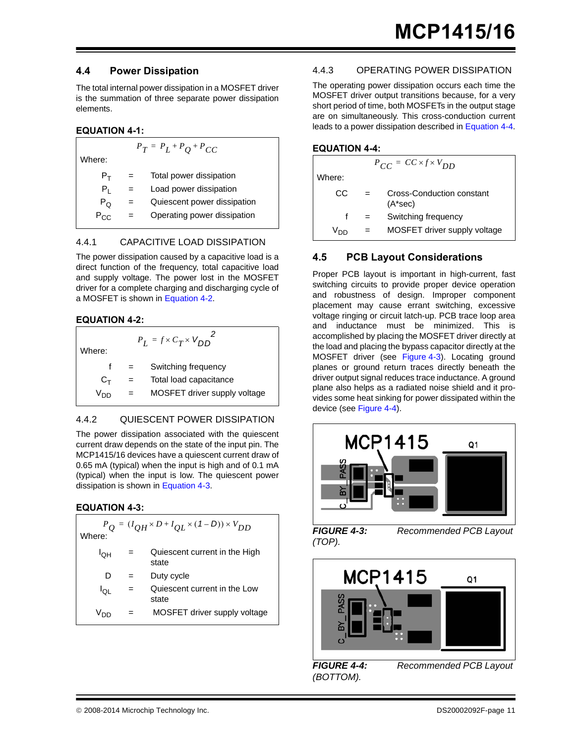#### **4.4 Power Dissipation**

The total internal power dissipation in a MOSFET driver is the summation of three separate power dissipation elements.

#### **EQUATION 4-1:**

| Where:          |   | $P_T = P_L + P_O + P_{CC}$  |
|-----------------|---|-----------------------------|
|                 |   |                             |
| Pт              |   | Total power dissipation     |
| $P_{\perp}$     |   | Load power dissipation      |
| $P_{\Omega}$    | = | Quiescent power dissipation |
| P <sub>cc</sub> |   | Operating power dissipation |
|                 |   |                             |

#### 4.4.1 CAPACITIVE LOAD DISSIPATION

The power dissipation caused by a capacitive load is a direct function of the frequency, total capacitive load and supply voltage. The power lost in the MOSFET driver for a complete charging and discharging cycle of a MOSFET is shown in [Equation 4-2](#page-10-0).

#### <span id="page-10-0"></span>**EQUATION 4-2:**

| Where:         | $P_L = f \times C_T \times V_{DD}$ |
|----------------|------------------------------------|
|                | Switching frequency                |
| $C_{\text{T}}$ | Total load capacitance             |
| Vnn            | MOSFET driver supply voltage       |

#### 4.4.2 QUIESCENT POWER DISSIPATION

The power dissipation associated with the quiescent current draw depends on the state of the input pin. The MCP1415/16 devices have a quiescent current draw of 0.65 mA (typical) when the input is high and of 0.1 mA (typical) when the input is low. The quiescent power dissipation is shown in [Equation 4-3.](#page-10-1)

#### <span id="page-10-1"></span>**EQUATION 4-3:**

| Where:          | $P_{Q} = (I_{QH} \times D + I_{QL} \times (1 - D)) \times V_{DD}$ |
|-----------------|-------------------------------------------------------------------|
| ١он             | Quiescent current in the High<br>state                            |
| D               | Duty cycle                                                        |
| וסי             | Quiescent current in the Low<br>state                             |
| V <sub>DD</sub> | MOSFET driver supply voltage                                      |

#### 4.4.3 OPERATING POWER DISSIPATION

The operating power dissipation occurs each time the MOSFET driver output transitions because, for a very short period of time, both MOSFETs in the output stage are on simultaneously. This cross-conduction current leads to a power dissipation described in [Equation 4-4](#page-10-2).

#### <span id="page-10-2"></span>**EQUATION 4-4:**

|        | $P_{CC} = CC \times f \times V_{DD}$   |
|--------|----------------------------------------|
| Where: |                                        |
| CC.    | Cross-Conduction constant<br>$(A*sec)$ |
|        | Switching frequency                    |
| Vnn    | MOSFET driver supply voltage           |

#### **4.5 PCB Layout Considerations**

Proper PCB layout is important in high-current, fast switching circuits to provide proper device operation and robustness of design. Improper component placement may cause errant switching, excessive voltage ringing or circuit latch-up. PCB trace loop area and inductance must be minimized. This is accomplished by placing the MOSFET driver directly at the load and placing the bypass capacitor directly at the MOSFET driver (see [Figure 4-3](#page-10-3)). Locating ground planes or ground return traces directly beneath the driver output signal reduces trace inductance. A ground plane also helps as a radiated noise shield and it provides some heat sinking for power dissipated within the device (see [Figure 4-4](#page-10-4)).

![](_page_10_Picture_19.jpeg)

*FIGURE 4-3: Recommended PCB Layout (TOP).*

<span id="page-10-3"></span>![](_page_10_Picture_21.jpeg)

<span id="page-10-4"></span>*(BOTTOM).*

*FIGURE 4-4: Recommended PCB Layout*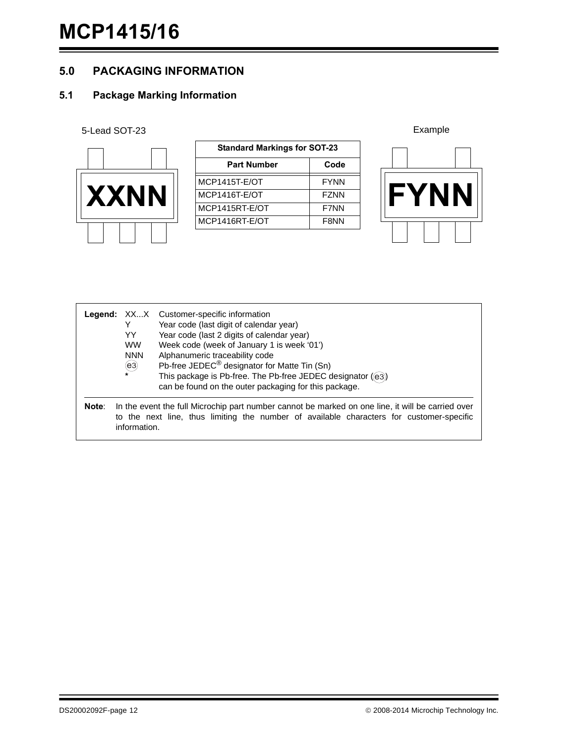### **5.0 PACKAGING INFORMATION**

#### **5.1 Package Marking Information**

#### 5-Lead SOT-23

![](_page_11_Figure_4.jpeg)

| <b>Standard Markings for SOT-23</b> |             |  |
|-------------------------------------|-------------|--|
| <b>Part Number</b>                  | Code        |  |
| <b>MCP1415T-E/OT</b>                | <b>FYNN</b> |  |
| MCP1416T-E/OT                       | <b>FZNN</b> |  |
| MCP1415RT-E/OT                      | F7NN        |  |
| MCP1416RT-E/OT                      | F8NN        |  |

![](_page_11_Figure_6.jpeg)

|       |              | Legend: XXX Customer-specific information                                                         |  |  |  |  |
|-------|--------------|---------------------------------------------------------------------------------------------------|--|--|--|--|
|       |              | Year code (last digit of calendar year)                                                           |  |  |  |  |
|       | YY           | Year code (last 2 digits of calendar year)                                                        |  |  |  |  |
|       | <b>WW</b>    | Week code (week of January 1 is week '01')                                                        |  |  |  |  |
|       | <b>NNN</b>   | Alphanumeric traceability code                                                                    |  |  |  |  |
|       |              | $\rm(e3)$<br>Pb-free JEDEC <sup>®</sup> designator for Matte Tin (Sn)                             |  |  |  |  |
|       | $\star$      | This package is Pb-free. The Pb-free JEDEC designator $(\mathrm{e}3)$                             |  |  |  |  |
|       |              | can be found on the outer packaging for this package.                                             |  |  |  |  |
|       |              |                                                                                                   |  |  |  |  |
| Note: |              | In the event the full Microchip part number cannot be marked on one line, it will be carried over |  |  |  |  |
|       | information. | to the next line, thus limiting the number of available characters for customer-specific          |  |  |  |  |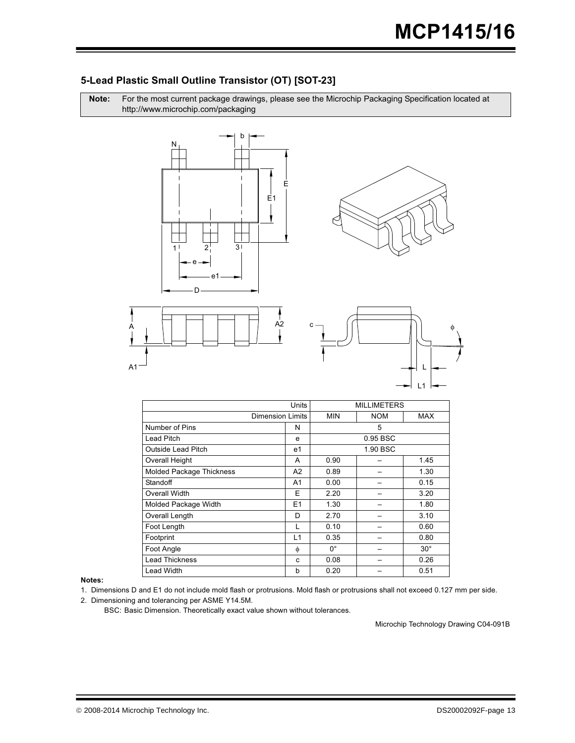φ

L

L1

#### 5-Lead Plastic Small Outline Transistor (OT) [SOT-23]

Note: For the most current package drawings, please see the Microchip Packaging Specification located at http://www.microchip.com/packaging

![](_page_12_Figure_3.jpeg)

![](_page_12_Figure_4.jpeg)

![](_page_12_Figure_5.jpeg)

|                                 | Units                   |              | <b>MILLIMETERS</b> |              |  |  |
|---------------------------------|-------------------------|--------------|--------------------|--------------|--|--|
|                                 | <b>Dimension Limits</b> | MIN          | <b>NOM</b>         | <b>MAX</b>   |  |  |
| Number of Pins                  | N                       | 5            |                    |              |  |  |
| Lead Pitch                      | e                       | 0.95 BSC     |                    |              |  |  |
| Outside Lead Pitch              | e1                      | 1.90 BSC     |                    |              |  |  |
| <b>Overall Height</b>           | A                       | 0.90         |                    | 1.45         |  |  |
| <b>Molded Package Thickness</b> | A2                      | 0.89         |                    | 1.30         |  |  |
| Standoff                        | A <sub>1</sub>          | 0.00         |                    | 0.15         |  |  |
| Overall Width                   | Е                       | 2.20         |                    | 3.20         |  |  |
| Molded Package Width            | E <sub>1</sub>          | 1.30         |                    | 1.80         |  |  |
| Overall Length                  | D                       | 2.70         |                    | 3.10         |  |  |
| Foot Length                     |                         | 0.10         |                    | 0.60         |  |  |
| Footprint                       | L1                      | 0.35         |                    | 0.80         |  |  |
| Foot Angle                      | φ                       | $0^{\circ}$  |                    | $30^{\circ}$ |  |  |
| <b>Lead Thickness</b>           | C                       | 0.08<br>0.26 |                    |              |  |  |
| <b>Lead Width</b>               | b                       | 0.20         |                    | 0.51         |  |  |

#### Notes:

1. Dimensions D and E1 do not include mold flash or protrusions. Mold flash or protrusions shall not exceed 0.127 mm per side.

2. Dimensioning and tolerancing per ASME Y14.5M.

BSC: Basic Dimension. Theoretically exact value shown without tolerances.

Microchip Technology Drawing C04-091B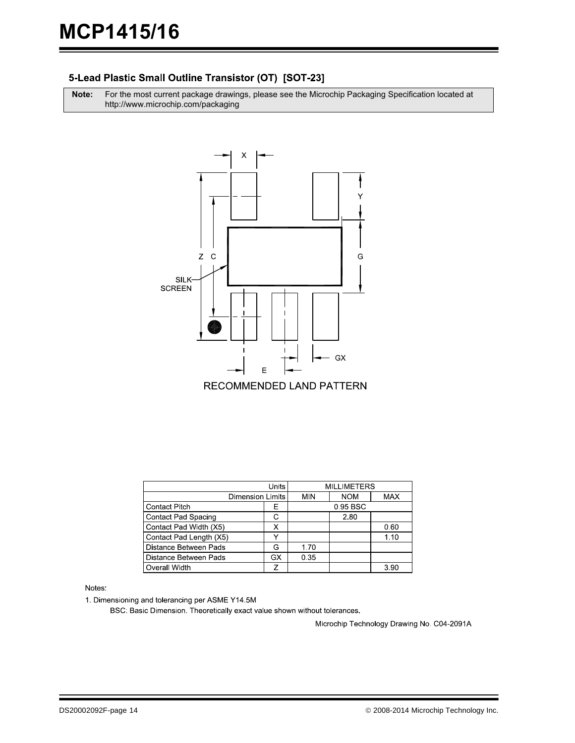#### 5-Lead Plastic Small Outline Transistor (OT) [SOT-23]

**Note:** For the most current package drawings, please see the Microchip Packaging Specification located at http://www.microchip.com/packaging

![](_page_13_Figure_3.jpeg)

|                            | <b>Units</b> | <b>MILLIMETERS</b> |            |            |
|----------------------------|--------------|--------------------|------------|------------|
| <b>Dimension Limits</b>    |              | <b>MIN</b>         | <b>NOM</b> | <b>MAX</b> |
| <b>Contact Pitch</b>       | Ε            | 095BSC             |            |            |
| <b>Contact Pad Spacing</b> | С            |                    | 2.80       |            |
| Contact Pad Width (X5)     |              |                    |            | 0.60       |
| Contact Pad Length (X5)    |              |                    |            | 1.10       |
| Distance Between Pads      | G            | 1.70               |            |            |
| Distance Between Pads      | GX           | 0.35               |            |            |
| Overall Width              |              |                    |            | 3.90       |

Notes:

1. Dimensioning and tolerancing per ASME Y14.5M

BSC: Basic Dimension. Theoretically exact value shown without tolerances.

Microchip Technology Drawing No. C04-2091A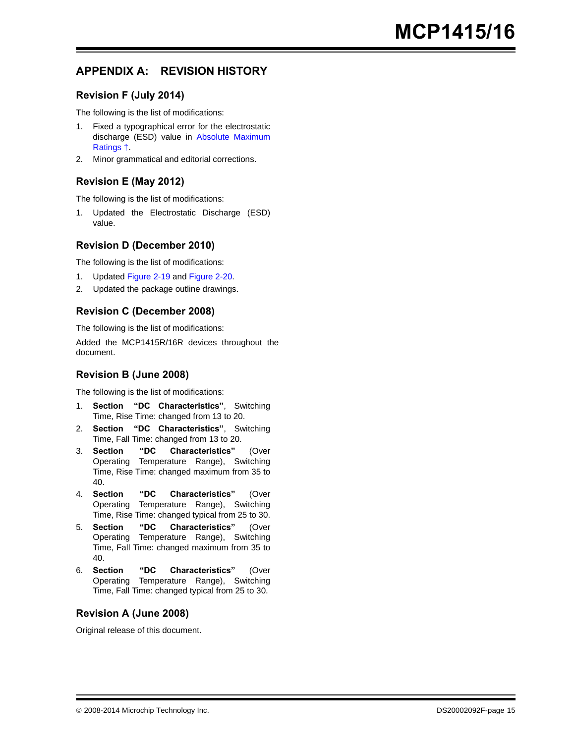#### **APPENDIX A: REVISION HISTORY**

#### **Revision F (July 2014)**

The following is the list of modifications:

- 1. Fixed a typographical error for the electrostatic discharge (ESD) value in [Absolute Maximum](#page-2-2) [Ratings †.](#page-2-2)
- 2. Minor grammatical and editorial corrections.

#### **Revision E (May 2012)**

The following is the list of modifications:

1. Updated the Electrostatic Discharge (ESD) value.

#### **Revision D (December 2010)**

The following is the list of modifications:

- 1. Updated [Figure 2-19](#page-7-0) and [Figure 2-20](#page-7-1).
- 2. Updated the package outline drawings.

#### **Revision C (December 2008)**

The following is the list of modifications:

Added the MCP1415R/16R devices throughout the document.

#### **Revision B (June 2008)**

The following is the list of modifications:

- 1. **[Section "DC Characteristics"](#page-2-3)**, Switching Time, Rise Time: changed from 13 to 20.
- 2. **[Section "DC Characteristics"](#page-2-3)**, Switching Time, Fall Time: changed from 13 to 20.
- 3. **[Section "DC Characteristics"](#page-2-3)** (Over Operating Temperature Range), Switching Time, Rise Time: changed maximum from 35 to 40.
- 4. **[Section "DC Characteristics"](#page-2-3)** (Over Operating Temperature Range), Switching Time, Rise Time: changed typical from 25 to 30.
- 5. **[Section "DC Characteristics"](#page-2-3)** (Over Operating Temperature Range), Switching Time, Fall Time: changed maximum from 35 to 40.
- 6. **[Section "DC Characteristics"](#page-2-3)** (Over Operating Temperature Range), Switching Time, Fall Time: changed typical from 25 to 30.

#### **Revision A (June 2008)**

Original release of this document.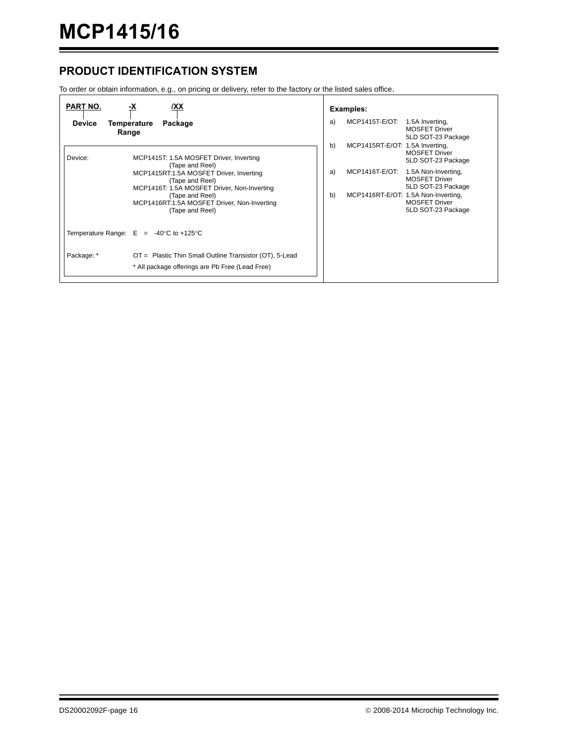#### **PRODUCT IDENTIFICATION SYSTEM**

To order or obtain information, e.g., on pricing or delivery, refer to the factory or the listed sales office.

| <b>PART NO.</b>                                                                     | <b>XX</b>                                                                                                                         |    | Examples:                           |                                                                   |
|-------------------------------------------------------------------------------------|-----------------------------------------------------------------------------------------------------------------------------------|----|-------------------------------------|-------------------------------------------------------------------|
| <b>Device</b><br>Range                                                              | Temperature<br>Package                                                                                                            | a) | MCP1415T-E/OT:                      | 1.5A Inverting,<br><b>MOSFET Driver</b><br>5LD SOT-23 Package     |
| Device:<br>(Tape and Reel)<br>(Tape and Reel)<br>(Tape and Reel)<br>(Tape and Reel) | MCP1415T: 1.5A MOSFET Driver, Inverting<br>MCP1415RT:1.5A MOSFET Driver, Inverting<br>MCP1416T: 1.5A MOSFET Driver, Non-Inverting | b) | MCP1415RT-E/OT: 1.5A Inverting,     | <b>MOSFET Driver</b><br>5LD SOT-23 Package                        |
|                                                                                     |                                                                                                                                   | a) | MCP1416T-E/OT:                      | 1.5A Non-Inverting,<br><b>MOSFET Driver</b><br>5LD SOT-23 Package |
|                                                                                     | MCP1416RT:1.5A MOSFET Driver, Non-Inverting                                                                                       | b) | MCP1416RT-E/OT: 1.5A Non-Inverting, | <b>MOSFET Driver</b><br>5LD SOT-23 Package                        |
|                                                                                     | Temperature Range: $E = -40^{\circ}C$ to +125°C                                                                                   |    |                                     |                                                                   |
| Package: *                                                                          | OT = Plastic Thin Small Outline Transistor (OT), 5-Lead                                                                           |    |                                     |                                                                   |
|                                                                                     | * All package offerings are Pb Free (Lead Free)                                                                                   |    |                                     |                                                                   |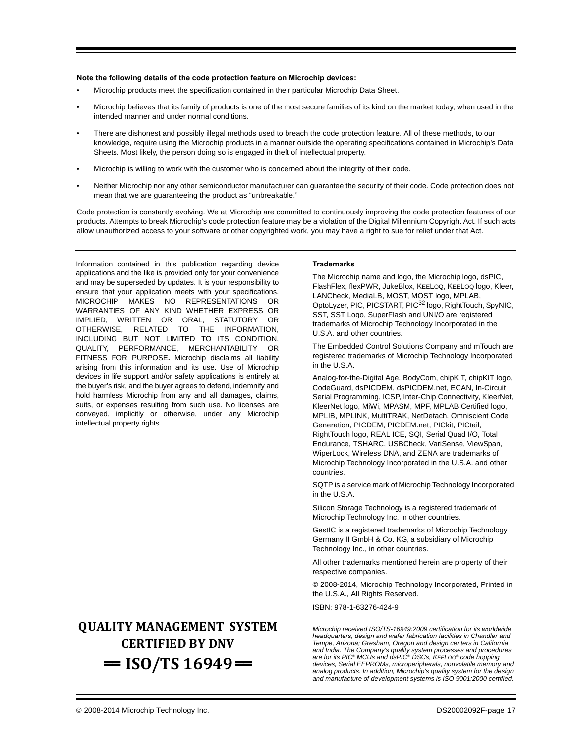#### **Note the following details of the code protection feature on Microchip devices:**

- Microchip products meet the specification contained in their particular Microchip Data Sheet.
- Microchip believes that its family of products is one of the most secure families of its kind on the market today, when used in the intended manner and under normal conditions.
- There are dishonest and possibly illegal methods used to breach the code protection feature. All of these methods, to our knowledge, require using the Microchip products in a manner outside the operating specifications contained in Microchip's Data Sheets. Most likely, the person doing so is engaged in theft of intellectual property.
- Microchip is willing to work with the customer who is concerned about the integrity of their code.
- Neither Microchip nor any other semiconductor manufacturer can guarantee the security of their code. Code protection does not mean that we are guaranteeing the product as "unbreakable."

Code protection is constantly evolving. We at Microchip are committed to continuously improving the code protection features of our products. Attempts to break Microchip's code protection feature may be a violation of the Digital Millennium Copyright Act. If such acts allow unauthorized access to your software or other copyrighted work, you may have a right to sue for relief under that Act.

Information contained in this publication regarding device applications and the like is provided only for your convenience and may be superseded by updates. It is your responsibility to ensure that your application meets with your specifications. MICROCHIP MAKES NO REPRESENTATIONS OR WARRANTIES OF ANY KIND WHETHER EXPRESS OR IMPLIED, WRITTEN OR ORAL, STATUTORY OR OTHERWISE, RELATED TO THE INFORMATION, INCLUDING BUT NOT LIMITED TO ITS CONDITION, QUALITY, PERFORMANCE, MERCHANTABILITY OR FITNESS FOR PURPOSE**.** Microchip disclaims all liability arising from this information and its use. Use of Microchip devices in life support and/or safety applications is entirely at the buyer's risk, and the buyer agrees to defend, indemnify and hold harmless Microchip from any and all damages, claims, suits, or expenses resulting from such use. No licenses are conveyed, implicitly or otherwise, under any Microchip intellectual property rights.

### **QUALITY MANAGEMENT SYSTEM CERTIFIED BY DNV**   $=$  **ISO/TS 16949** $=$

#### **Trademarks**

The Microchip name and logo, the Microchip logo, dsPIC, FlashFlex, flexPWR, JukeBlox, KEELOQ, KEELOQ logo, Kleer, LANCheck, MediaLB, MOST, MOST logo, MPLAB, OptoLyzer, PIC, PICSTART, PIC32 logo, RightTouch, SpyNIC, SST, SST Logo, SuperFlash and UNI/O are registered trademarks of Microchip Technology Incorporated in the U.S.A. and other countries.

The Embedded Control Solutions Company and mTouch are registered trademarks of Microchip Technology Incorporated in the U.S.A.

Analog-for-the-Digital Age, BodyCom, chipKIT, chipKIT logo, CodeGuard, dsPICDEM, dsPICDEM.net, ECAN, In-Circuit Serial Programming, ICSP, Inter-Chip Connectivity, KleerNet, KleerNet logo, MiWi, MPASM, MPF, MPLAB Certified logo, MPLIB, MPLINK, MultiTRAK, NetDetach, Omniscient Code Generation, PICDEM, PICDEM.net, PICkit, PICtail, RightTouch logo, REAL ICE, SQI, Serial Quad I/O, Total Endurance, TSHARC, USBCheck, VariSense, ViewSpan, WiperLock, Wireless DNA, and ZENA are trademarks of Microchip Technology Incorporated in the U.S.A. and other countries.

SQTP is a service mark of Microchip Technology Incorporated in the U.S.A.

Silicon Storage Technology is a registered trademark of Microchip Technology Inc. in other countries.

GestIC is a registered trademarks of Microchip Technology Germany II GmbH & Co. KG, a subsidiary of Microchip Technology Inc., in other countries.

All other trademarks mentioned herein are property of their respective companies.

© 2008-2014, Microchip Technology Incorporated, Printed in the U.S.A., All Rights Reserved.

ISBN: 978-1-63276-424-9

*Microchip received ISO/TS-16949:2009 certification for its worldwide headquarters, design and wafer fabrication facilities in Chandler and Tempe, Arizona; Gresham, Oregon and design centers in California and India. The Company's quality system processes and procedures are for its PIC® MCUs and dsPIC® DSCs, KEELOQ® code hopping devices, Serial EEPROMs, microperipherals, nonvolatile memory and analog products. In addition, Microchip's quality system for the design and manufacture of development systems is ISO 9001:2000 certified.*